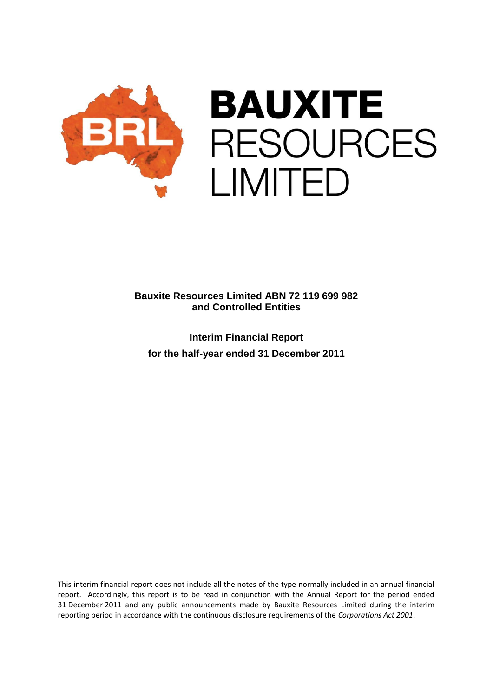

**Interim Financial Report for the half-year ended 31 December 2011**

This interim financial report does not include all the notes of the type normally included in an annual financial report. Accordingly, this report is to be read in conjunction with the Annual Report for the period ended 31 December 2011 and any public announcements made by Bauxite Resources Limited during the interim reporting period in accordance with the continuous disclosure requirements of the *Corporations Act 2001*.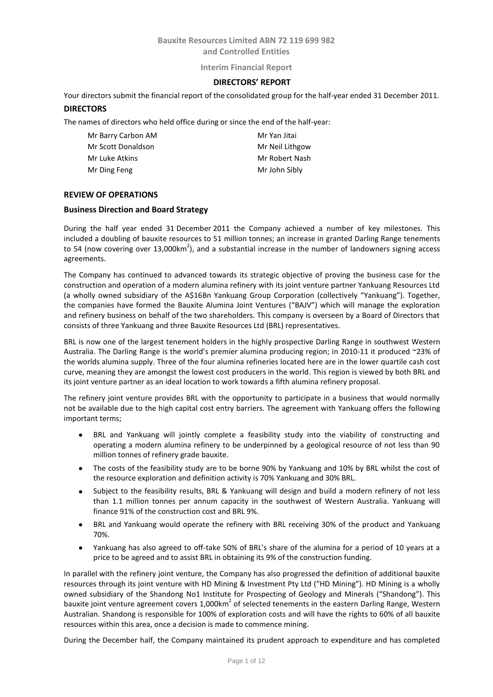### **Interim Financial Report**

## **DIRECTORS' REPORT**

Your directors submit the financial report of the consolidated group for the half-year ended 31 December 2011.

### **DIRECTORS**

The names of directors who held office during or since the end of the half-year:

| Mr Barry Carbon AM | Mr Yan Jitai    |
|--------------------|-----------------|
| Mr Scott Donaldson | Mr Neil Lithgow |
| Mr Luke Atkins     | Mr Robert Nash  |
| Mr Ding Feng       | Mr John Sibly   |

## **REVIEW OF OPERATIONS**

### **Business Direction and Board Strategy**

During the half year ended 31 December 2011 the Company achieved a number of key milestones. This included a doubling of bauxite resources to 51 million tonnes; an increase in granted Darling Range tenements to 54 (now covering over 13,000km<sup>2</sup>), and a substantial increase in the number of landowners signing access agreements.

The Company has continued to advanced towards its strategic objective of proving the business case for the construction and operation of a modern alumina refinery with its joint venture partner Yankuang Resources Ltd (a wholly owned subsidiary of the A\$16Bn Yankuang Group Corporation (collectively "Yankuang"). Together, the companies have formed the Bauxite Alumina Joint Ventures ("BAJV") which will manage the exploration and refinery business on behalf of the two shareholders. This company is overseen by a Board of Directors that consists of three Yankuang and three Bauxite Resources Ltd (BRL) representatives.

BRL is now one of the largest tenement holders in the highly prospective Darling Range in southwest Western Australia. The Darling Range is the world's premier alumina producing region; in 2010-11 it produced ~23% of the worlds alumina supply. Three of the four alumina refineries located here are in the lower quartile cash cost curve, meaning they are amongst the lowest cost producers in the world. This region is viewed by both BRL and its joint venture partner as an ideal location to work towards a fifth alumina refinery proposal.

The refinery joint venture provides BRL with the opportunity to participate in a business that would normally not be available due to the high capital cost entry barriers. The agreement with Yankuang offers the following important terms;

- BRL and Yankuang will jointly complete a feasibility study into the viability of constructing and operating a modern alumina refinery to be underpinned by a geological resource of not less than 90 million tonnes of refinery grade bauxite.
- The costs of the feasibility study are to be borne 90% by Yankuang and 10% by BRL whilst the cost of the resource exploration and definition activity is 70% Yankuang and 30% BRL.
- Subject to the feasibility results, BRL & Yankuang will design and build a modern refinery of not less than 1.1 million tonnes per annum capacity in the southwest of Western Australia. Yankuang will finance 91% of the construction cost and BRL 9%.
- BRL and Yankuang would operate the refinery with BRL receiving 30% of the product and Yankuang 70%.
- Yankuang has also agreed to off-take 50% of BRL's share of the alumina for a period of 10 years at a price to be agreed and to assist BRL in obtaining its 9% of the construction funding.

In parallel with the refinery joint venture, the Company has also progressed the definition of additional bauxite resources through its joint venture with HD Mining & Investment Pty Ltd ("HD Mining"). HD Mining is a wholly owned subsidiary of the Shandong No1 Institute for Prospecting of Geology and Minerals ("Shandong"). This bauxite joint venture agreement covers 1,000km<sup>2</sup> of selected tenements in the eastern Darling Range, Western Australian. Shandong is responsible for 100% of exploration costs and will have the rights to 60% of all bauxite resources within this area, once a decision is made to commence mining.

During the December half, the Company maintained its prudent approach to expenditure and has completed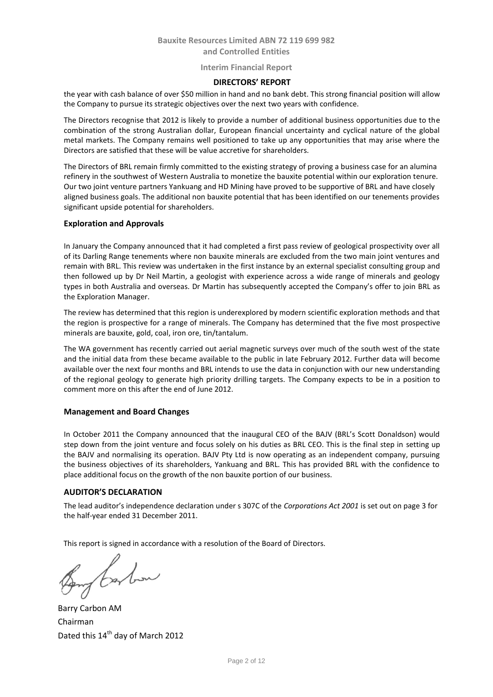### **Interim Financial Report**

## **DIRECTORS' REPORT**

the year with cash balance of over \$50 million in hand and no bank debt. This strong financial position will allow the Company to pursue its strategic objectives over the next two years with confidence.

The Directors recognise that 2012 is likely to provide a number of additional business opportunities due to the combination of the strong Australian dollar, European financial uncertainty and cyclical nature of the global metal markets. The Company remains well positioned to take up any opportunities that may arise where the Directors are satisfied that these will be value accretive for shareholders.

The Directors of BRL remain firmly committed to the existing strategy of proving a business case for an alumina refinery in the southwest of Western Australia to monetize the bauxite potential within our exploration tenure. Our two joint venture partners Yankuang and HD Mining have proved to be supportive of BRL and have closely aligned business goals. The additional non bauxite potential that has been identified on our tenements provides significant upside potential for shareholders.

### **Exploration and Approvals**

In January the Company announced that it had completed a first pass review of geological prospectivity over all of its Darling Range tenements where non bauxite minerals are excluded from the two main joint ventures and remain with BRL. This review was undertaken in the first instance by an external specialist consulting group and then followed up by Dr Neil Martin, a geologist with experience across a wide range of minerals and geology types in both Australia and overseas. Dr Martin has subsequently accepted the Company's offer to join BRL as the Exploration Manager.

The review has determined that this region is underexplored by modern scientific exploration methods and that the region is prospective for a range of minerals. The Company has determined that the five most prospective minerals are bauxite, gold, coal, iron ore, tin/tantalum.

The WA government has recently carried out aerial magnetic surveys over much of the south west of the state and the initial data from these became available to the public in late February 2012. Further data will become available over the next four months and BRL intends to use the data in conjunction with our new understanding of the regional geology to generate high priority drilling targets. The Company expects to be in a position to comment more on this after the end of June 2012.

#### **Management and Board Changes**

In October 2011 the Company announced that the inaugural CEO of the BAJV (BRL's Scott Donaldson) would step down from the joint venture and focus solely on his duties as BRL CEO. This is the final step in setting up the BAJV and normalising its operation. BAJV Pty Ltd is now operating as an independent company, pursuing the business objectives of its shareholders, Yankuang and BRL. This has provided BRL with the confidence to place additional focus on the growth of the non bauxite portion of our business.

## **AUDITOR'S DECLARATION**

The lead auditor's independence declaration under s 307C of the *Corporations Act 2001* is set out on page 3 for the half-year ended 31 December 2011.

This report is signed in accordance with a resolution of the Board of Directors.

flashow

Barry Carbon AM Chairman Dated this 14<sup>th</sup> day of March 2012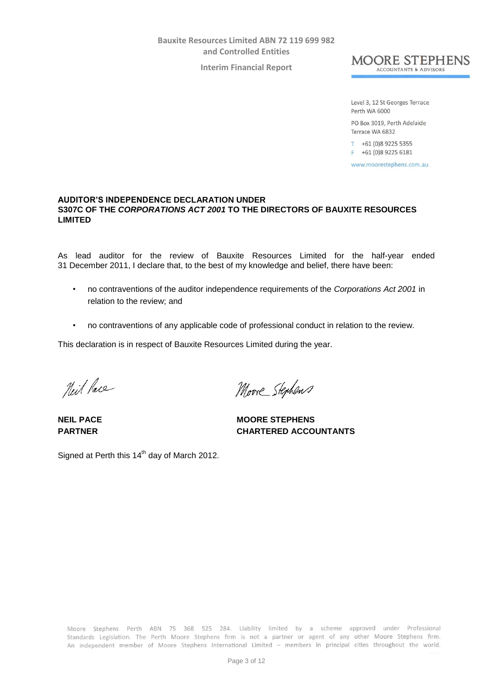**Interim Financial Report**



Level 3, 12 St Georges Terrace Perth WA 6000

PO Box 3019, Perth Adelaide Terrace WA 6832

T +61 (0)8 9225 5355 F +61 (0)8 9225 6181

www.moorestephens.com.au

# **AUDITOR'S INDEPENDENCE DECLARATION UNDER S307C OF THE** *CORPORATIONS ACT 2001* **TO THE DIRECTORS OF BAUXITE RESOURCES LIMITED**

As lead auditor for the review of Bauxite Resources Limited for the half-year ended 31 December 2011, I declare that, to the best of my knowledge and belief, there have been:

- no contraventions of the auditor independence requirements of the *Corporations Act 2001* in relation to the review; and
- no contraventions of any applicable code of professional conduct in relation to the review.

This declaration is in respect of Bauxite Resources Limited during the year.

Neil Pace

Moore Stephens

**NEIL PACE** MOORE STEPHENS **PARTNER CHARTERED ACCOUNTANTS**

Signed at Perth this  $14<sup>th</sup>$  day of March 2012.

Moore Stephens Perth ABN 75 368 525 284. Liability limited by a scheme approved under Professional Standards Legislation. The Perth Moore Stephens firm is not a partner or agent of any other Moore Stephens firm. An independent member of Moore Stephens International Limited - members in principal cities throughout the world.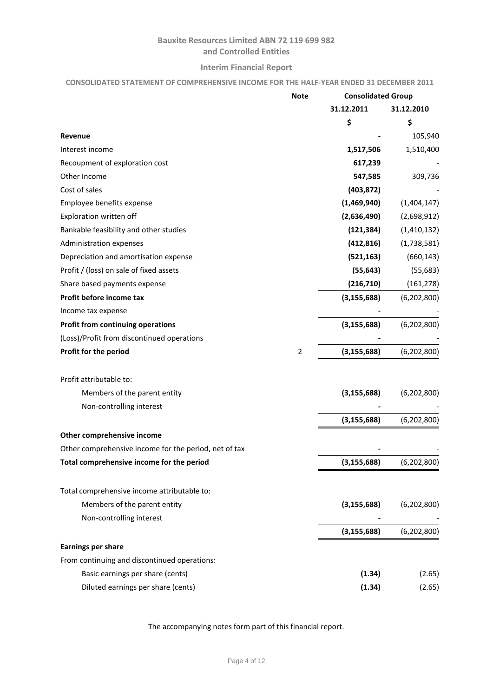# **Interim Financial Report**

# **CONSOLIDATED STATEMENT OF COMPREHENSIVE INCOME FOR THE HALF-YEAR ENDED 31 DECEMBER 2011**

|                                                       | <b>Note</b>    | <b>Consolidated Group</b> |               |
|-------------------------------------------------------|----------------|---------------------------|---------------|
|                                                       |                | 31.12.2011                | 31.12.2010    |
|                                                       |                | \$                        | \$            |
| Revenue                                               |                |                           | 105,940       |
| Interest income                                       |                | 1,517,506                 | 1,510,400     |
| Recoupment of exploration cost                        |                | 617,239                   |               |
| Other Income                                          |                | 547,585                   | 309,736       |
| Cost of sales                                         |                | (403, 872)                |               |
| Employee benefits expense                             |                | (1,469,940)               | (1,404,147)   |
| Exploration written off                               |                | (2,636,490)               | (2,698,912)   |
| Bankable feasibility and other studies                |                | (121, 384)                | (1,410,132)   |
| Administration expenses                               |                | (412, 816)                | (1,738,581)   |
| Depreciation and amortisation expense                 |                | (521, 163)                | (660, 143)    |
| Profit / (loss) on sale of fixed assets               |                | (55, 643)                 | (55, 683)     |
| Share based payments expense                          |                | (216, 710)                | (161, 278)    |
| Profit before income tax                              |                | (3, 155, 688)             | (6, 202, 800) |
| Income tax expense                                    |                |                           |               |
| <b>Profit from continuing operations</b>              |                | (3, 155, 688)             | (6, 202, 800) |
| (Loss)/Profit from discontinued operations            |                |                           |               |
| Profit for the period                                 | $\overline{2}$ | (3, 155, 688)             | (6, 202, 800) |
| Profit attributable to:                               |                |                           |               |
| Members of the parent entity                          |                | (3, 155, 688)             | (6, 202, 800) |
| Non-controlling interest                              |                |                           |               |
|                                                       |                | (3, 155, 688)             | (6, 202, 800) |
| Other comprehensive income                            |                |                           |               |
| Other comprehensive income for the period, net of tax |                |                           |               |
| Total comprehensive income for the period             |                | (3, 155, 688)             | (6,202,800)   |
| Total comprehensive income attributable to:           |                |                           |               |
| Members of the parent entity                          |                | (3, 155, 688)             | (6, 202, 800) |
| Non-controlling interest                              |                |                           |               |
|                                                       |                | (3, 155, 688)             | (6, 202, 800) |
| <b>Earnings per share</b>                             |                |                           |               |
| From continuing and discontinued operations:          |                |                           |               |
| Basic earnings per share (cents)                      |                | (1.34)                    | (2.65)        |
| Diluted earnings per share (cents)                    |                | (1.34)                    | (2.65)        |

The accompanying notes form part of this financial report.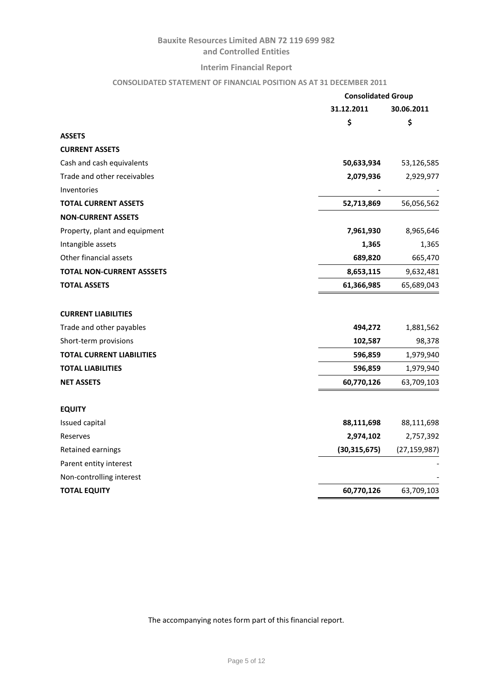# **Interim Financial Report**

# **CONSOLIDATED STATEMENT OF FINANCIAL POSITION AS AT 31 DECEMBER 2011**

|                                  | <b>Consolidated Group</b> |                |  |
|----------------------------------|---------------------------|----------------|--|
|                                  | 31.12.2011                | 30.06.2011     |  |
|                                  | \$                        | \$             |  |
| <b>ASSETS</b>                    |                           |                |  |
| <b>CURRENT ASSETS</b>            |                           |                |  |
| Cash and cash equivalents        | 50,633,934                | 53,126,585     |  |
| Trade and other receivables      | 2,079,936                 | 2,929,977      |  |
| Inventories                      |                           |                |  |
| <b>TOTAL CURRENT ASSETS</b>      | 52,713,869                | 56,056,562     |  |
| <b>NON-CURRENT ASSETS</b>        |                           |                |  |
| Property, plant and equipment    | 7,961,930                 | 8,965,646      |  |
| Intangible assets                | 1,365                     | 1,365          |  |
| Other financial assets           | 689,820                   | 665,470        |  |
| <b>TOTAL NON-CURRENT ASSSETS</b> | 8,653,115                 | 9,632,481      |  |
| <b>TOTAL ASSETS</b>              | 61,366,985                | 65,689,043     |  |
|                                  |                           |                |  |
| <b>CURRENT LIABILITIES</b>       |                           |                |  |
| Trade and other payables         | 494,272                   | 1,881,562      |  |
| Short-term provisions            | 102,587                   | 98,378         |  |
| <b>TOTAL CURRENT LIABILITIES</b> | 596,859                   | 1,979,940      |  |
| <b>TOTAL LIABILITIES</b>         | 596,859                   | 1,979,940      |  |
| <b>NET ASSETS</b>                | 60,770,126                | 63,709,103     |  |
|                                  |                           |                |  |
| <b>EQUITY</b>                    |                           |                |  |
| Issued capital                   | 88,111,698                | 88,111,698     |  |
| Reserves                         | 2,974,102                 | 2,757,392      |  |
| Retained earnings                | (30, 315, 675)            | (27, 159, 987) |  |
| Parent entity interest           |                           |                |  |
| Non-controlling interest         |                           |                |  |
| <b>TOTAL EQUITY</b>              | 60,770,126                | 63,709,103     |  |
|                                  |                           |                |  |

The accompanying notes form part of this financial report.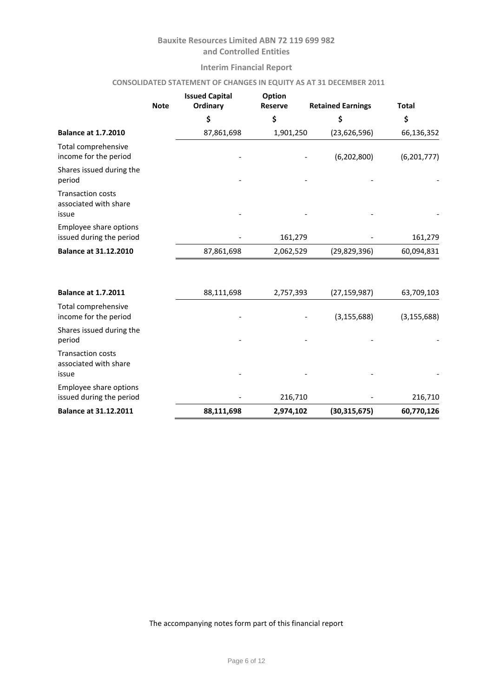# **Interim Financial Report**

# **CONSOLIDATED STATEMENT OF CHANGES IN EQUITY AS AT 31 DECEMBER 2011**

|                                                            | <b>Note</b> | <b>Issued Capital</b><br>Ordinary | Option<br><b>Reserve</b> | <b>Retained Earnings</b> | <b>Total</b>  |  |
|------------------------------------------------------------|-------------|-----------------------------------|--------------------------|--------------------------|---------------|--|
|                                                            |             | \$                                | \$                       | \$                       | \$            |  |
| <b>Balance at 1.7.2010</b>                                 |             | 87,861,698                        | 1,901,250                | (23, 626, 596)           | 66,136,352    |  |
| Total comprehensive<br>income for the period               |             |                                   |                          | (6, 202, 800)            | (6,201,777)   |  |
| Shares issued during the<br>period                         |             |                                   |                          |                          |               |  |
| <b>Transaction costs</b><br>associated with share<br>issue |             |                                   |                          |                          |               |  |
| Employee share options<br>issued during the period         |             |                                   | 161,279                  |                          | 161,279       |  |
| <b>Balance at 31.12.2010</b>                               |             | 87,861,698                        | 2,062,529                | (29, 829, 396)           | 60,094,831    |  |
| <b>Balance at 1.7.2011</b>                                 |             | 88,111,698                        | 2,757,393                | (27, 159, 987)           | 63,709,103    |  |
| Total comprehensive<br>income for the period               |             |                                   |                          | (3, 155, 688)            | (3, 155, 688) |  |
| Shares issued during the<br>period                         |             |                                   |                          |                          |               |  |
| <b>Transaction costs</b><br>associated with share          |             |                                   |                          |                          |               |  |

| <b>Balance at 31.12.2011</b>                       | 88,111,698 | 2,974,102                | (30, 315, 675) | 60,770,126 |
|----------------------------------------------------|------------|--------------------------|----------------|------------|
| Employee share options<br>issued during the period | -          | 216,710                  |                | 216,710    |
| issue                                              | -          | $\overline{\phantom{0}}$ | -              |            |

The accompanying notes form part of this financial report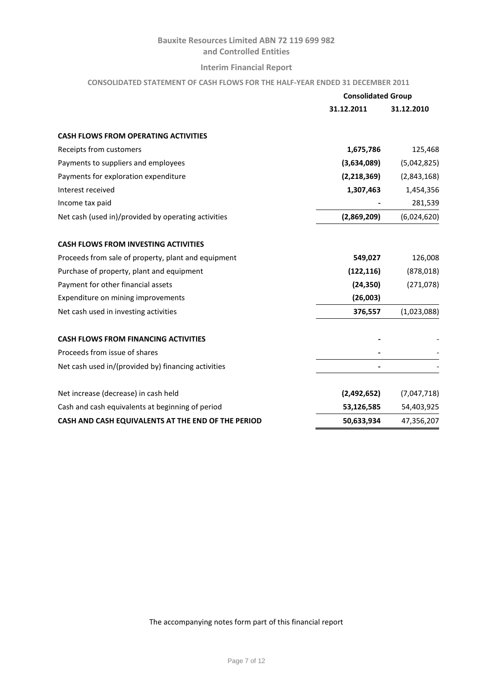# **Interim Financial Report**

# **CONSOLIDATED STATEMENT OF CASH FLOWS FOR THE HALF-YEAR ENDED 31 DECEMBER 2011**

|                                                     | <b>Consolidated Group</b> |             |
|-----------------------------------------------------|---------------------------|-------------|
|                                                     | 31.12.2011                | 31.12.2010  |
| <b>CASH FLOWS FROM OPERATING ACTIVITIES</b>         |                           |             |
| Receipts from customers                             | 1,675,786                 | 125,468     |
| Payments to suppliers and employees                 | (3,634,089)               | (5,042,825) |
| Payments for exploration expenditure                | (2, 218, 369)             | (2,843,168) |
| Interest received                                   | 1,307,463                 | 1,454,356   |
| Income tax paid                                     |                           | 281,539     |
| Net cash (used in)/provided by operating activities | (2,869,209)               | (6,024,620) |
| <b>CASH FLOWS FROM INVESTING ACTIVITIES</b>         |                           |             |
| Proceeds from sale of property, plant and equipment | 549,027                   | 126,008     |
| Purchase of property, plant and equipment           | (122, 116)                | (878, 018)  |
| Payment for other financial assets                  | (24, 350)                 | (271, 078)  |
| Expenditure on mining improvements                  | (26,003)                  |             |
| Net cash used in investing activities               | 376,557                   | (1,023,088) |
| <b>CASH FLOWS FROM FINANCING ACTIVITIES</b>         |                           |             |
| Proceeds from issue of shares                       |                           |             |
| Net cash used in/(provided by) financing activities |                           |             |
| Net increase (decrease) in cash held                | (2,492,652)               | (7,047,718) |
| Cash and cash equivalents at beginning of period    | 53,126,585                | 54,403,925  |
| CASH AND CASH EQUIVALENTS AT THE END OF THE PERIOD  | 50,633,934                | 47,356,207  |

The accompanying notes form part of this financial report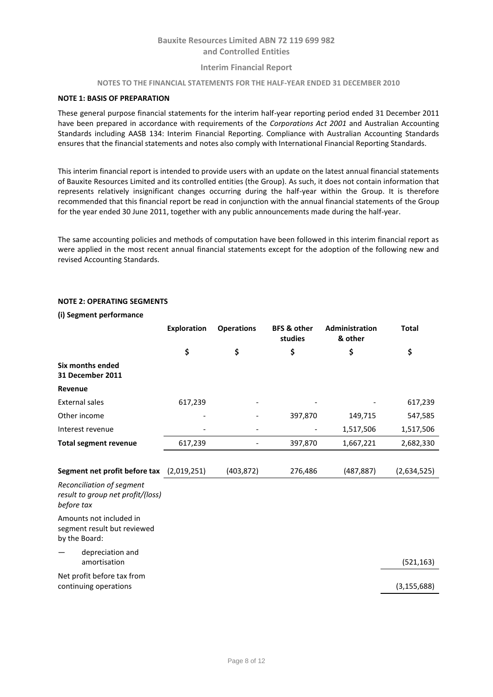## **Interim Financial Report**

#### **NOTES TO THE FINANCIAL STATEMENTS FOR THE HALF-YEAR ENDED 31 DECEMBER 2010**

#### **NOTE 1: BASIS OF PREPARATION**

These general purpose financial statements for the interim half-year reporting period ended 31 December 2011 have been prepared in accordance with requirements of the *Corporations Act 2001* and Australian Accounting Standards including AASB 134: Interim Financial Reporting. Compliance with Australian Accounting Standards ensures that the financial statements and notes also comply with International Financial Reporting Standards.

This interim financial report is intended to provide users with an update on the latest annual financial statements of Bauxite Resources Limited and its controlled entities (the Group). As such, it does not contain information that represents relatively insignificant changes occurring during the half-year within the Group. It is therefore recommended that this financial report be read in conjunction with the annual financial statements of the Group for the year ended 30 June 2011, together with any public announcements made during the half-year.

The same accounting policies and methods of computation have been followed in this interim financial report as were applied in the most recent annual financial statements except for the adoption of the following new and revised Accounting Standards.

#### **NOTE 2: OPERATING SEGMENTS**

#### **(i) Segment performance**

|                                                                              | <b>Exploration</b> | <b>Operations</b> | <b>BFS &amp; other</b><br>studies | Administration<br>& other | <b>Total</b>  |
|------------------------------------------------------------------------------|--------------------|-------------------|-----------------------------------|---------------------------|---------------|
|                                                                              | \$                 | \$                | \$                                | \$                        | \$            |
| Six months ended<br>31 December 2011                                         |                    |                   |                                   |                           |               |
| Revenue                                                                      |                    |                   |                                   |                           |               |
| <b>External sales</b>                                                        | 617,239            |                   |                                   |                           | 617,239       |
| Other income                                                                 |                    |                   | 397,870                           | 149,715                   | 547,585       |
| Interest revenue                                                             |                    |                   |                                   | 1,517,506                 | 1,517,506     |
| <b>Total segment revenue</b>                                                 | 617,239            |                   | 397,870                           | 1,667,221                 | 2,682,330     |
|                                                                              |                    |                   |                                   |                           |               |
| Segment net profit before tax (2,019,251)                                    |                    | (403, 872)        | 276,486                           | (487, 887)                | (2,634,525)   |
| Reconciliation of segment<br>result to group net profit/(loss)<br>before tax |                    |                   |                                   |                           |               |
| Amounts not included in<br>segment result but reviewed<br>by the Board:      |                    |                   |                                   |                           |               |
| depreciation and<br>amortisation                                             |                    |                   |                                   |                           | (521, 163)    |
| Net profit before tax from<br>continuing operations                          |                    |                   |                                   |                           | (3, 155, 688) |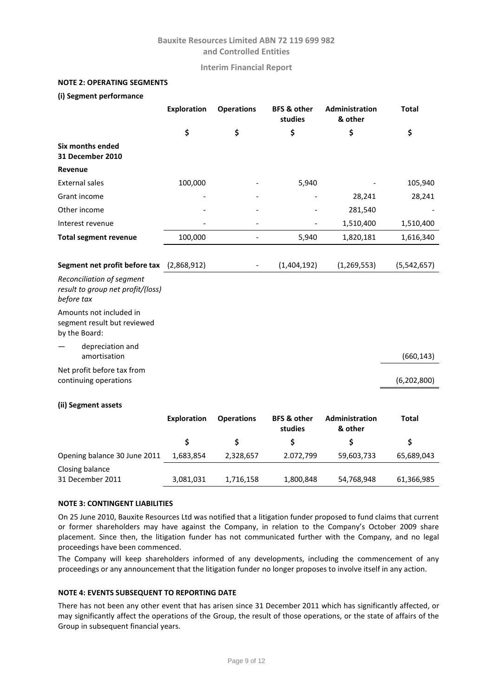**Interim Financial Report**

## **NOTE 2: OPERATING SEGMENTS**

#### **(i) Segment performance**

|                                                                              | <b>Exploration</b> | <b>Operations</b> | <b>BFS &amp; other</b><br>studies | <b>Administration</b><br>& other | <b>Total</b>  |
|------------------------------------------------------------------------------|--------------------|-------------------|-----------------------------------|----------------------------------|---------------|
|                                                                              | \$                 | \$                | \$                                | \$                               | \$            |
| Six months ended<br>31 December 2010                                         |                    |                   |                                   |                                  |               |
| Revenue                                                                      |                    |                   |                                   |                                  |               |
| <b>External sales</b>                                                        | 100,000            |                   | 5,940                             |                                  | 105,940       |
| Grant income                                                                 |                    |                   |                                   | 28,241                           | 28,241        |
| Other income                                                                 |                    |                   |                                   | 281,540                          |               |
| Interest revenue                                                             |                    |                   |                                   | 1,510,400                        | 1,510,400     |
| <b>Total segment revenue</b>                                                 | 100,000            |                   | 5,940                             | 1,820,181                        | 1,616,340     |
|                                                                              |                    |                   |                                   |                                  |               |
| Segment net profit before tax (2,868,912)                                    |                    |                   | (1,404,192)                       | (1, 269, 553)                    | (5,542,657)   |
| Reconciliation of segment<br>result to group net profit/(loss)<br>before tax |                    |                   |                                   |                                  |               |
| Amounts not included in<br>segment result but reviewed<br>by the Board:      |                    |                   |                                   |                                  |               |
| depreciation and<br>amortisation                                             |                    |                   |                                   |                                  | (660, 143)    |
| Net profit before tax from<br>continuing operations                          |                    |                   |                                   |                                  | (6, 202, 800) |
| (ii) Segment assets                                                          |                    |                   |                                   |                                  |               |

|                                     | Exploration | <b>Operations</b> | <b>BFS &amp; other</b><br>studies | <b>Administration</b><br>& other | Total      |
|-------------------------------------|-------------|-------------------|-----------------------------------|----------------------------------|------------|
|                                     |             |                   |                                   |                                  |            |
| Opening balance 30 June 2011        | 1,683,854   | 2,328,657         | 2.072,799                         | 59,603,733                       | 65,689,043 |
| Closing balance<br>31 December 2011 | 3,081,031   | 1,716,158         | 1,800,848                         | 54,768,948                       | 61,366,985 |

### **NOTE 3: CONTINGENT LIABILITIES**

On 25 June 2010, Bauxite Resources Ltd was notified that a litigation funder proposed to fund claims that current or former shareholders may have against the Company, in relation to the Company's October 2009 share placement. Since then, the litigation funder has not communicated further with the Company, and no legal proceedings have been commenced.

The Company will keep shareholders informed of any developments, including the commencement of any proceedings or any announcement that the litigation funder no longer proposes to involve itself in any action.

## **NOTE 4: EVENTS SUBSEQUENT TO REPORTING DATE**

There has not been any other event that has arisen since 31 December 2011 which has significantly affected, or may significantly affect the operations of the Group, the result of those operations, or the state of affairs of the Group in subsequent financial years.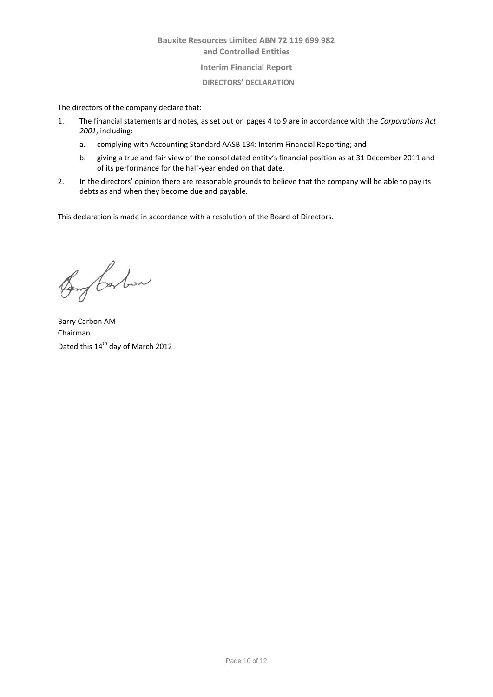## **Interim Financial Report**

### **DIRECTORS' DECLARATION**

The directors of the company declare that:

- 1. The financial statements and notes, as set out on pages 4 to 9 are in accordance with the *Corporations Act 2001*, including:
	- a. complying with Accounting Standard AASB 134: Interim Financial Reporting; and
	- b. giving a true and fair view of the consolidated entity's financial position as at 31 December 2011 and of its performance for the half-year ended on that date.
- 2. In the directors' opinion there are reasonable grounds to believe that the company will be able to pay its debts as and when they become due and payable.

This declaration is made in accordance with a resolution of the Board of Directors.

Bong barbon

Barry Carbon AM Chairman Dated this 14<sup>th</sup> day of March 2012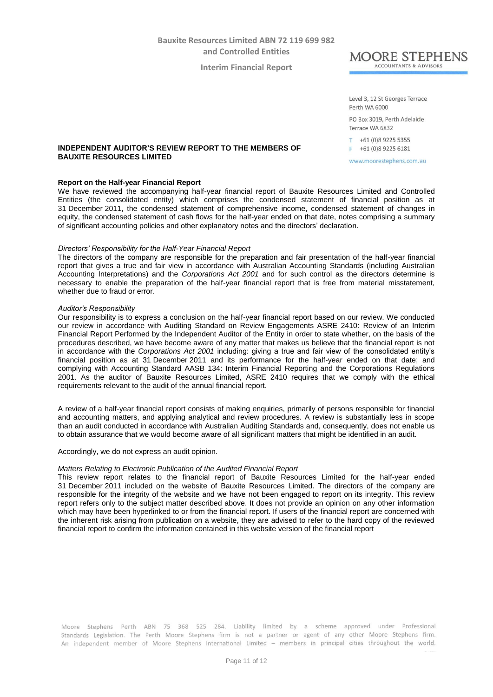**Interim Financial Report**



Level 3, 12 St Georges Terrace Perth WA 6000

PO Box 3019, Perth Adelaide Terrace WA 6832

T +61 (0)8 9225 5355  $F +61(0)892256181$ 

www.moorestephens.com.au

### **INDEPENDENT AUDITOR'S REVIEW REPORT TO THE MEMBERS OF BAUXITE RESOURCES LIMITED**

#### **Report on the Half-year Financial Report**

We have reviewed the accompanying half-year financial report of Bauxite Resources Limited and Controlled Entities (the consolidated entity) which comprises the condensed statement of financial position as at 31 December 2011, the condensed statement of comprehensive income, condensed statement of changes in equity, the condensed statement of cash flows for the half-year ended on that date, notes comprising a summary of significant accounting policies and other explanatory notes and the directors' declaration.

### *Directors' Responsibility for the Half-Year Financial Report*

The directors of the company are responsible for the preparation and fair presentation of the half-year financial report that gives a true and fair view in accordance with Australian Accounting Standards (including Australian Accounting Interpretations) and the *Corporations Act 2001* and for such control as the directors determine is necessary to enable the preparation of the half-year financial report that is free from material misstatement, whether due to fraud or error.

#### *Auditor's Responsibility*

Our responsibility is to express a conclusion on the half-year financial report based on our review. We conducted our review in accordance with Auditing Standard on Review Engagements ASRE 2410: Review of an Interim Financial Report Performed by the Independent Auditor of the Entity in order to state whether, on the basis of the procedures described, we have become aware of any matter that makes us believe that the financial report is not in accordance with the *Corporations Act 2001* including: giving a true and fair view of the consolidated entity's financial position as at 31 December 2011 and its performance for the half-year ended on that date; and complying with Accounting Standard AASB 134: Interim Financial Reporting and the Corporations Regulations 2001. As the auditor of Bauxite Resources Limited, ASRE 2410 requires that we comply with the ethical requirements relevant to the audit of the annual financial report.

A review of a half-year financial report consists of making enquiries, primarily of persons responsible for financial and accounting matters, and applying analytical and review procedures. A review is substantially less in scope than an audit conducted in accordance with Australian Auditing Standards and, consequently, does not enable us to obtain assurance that we would become aware of all significant matters that might be identified in an audit.

Accordingly, we do not express an audit opinion.

#### *Matters Relating to Electronic Publication of the Audited Financial Report*

This review report relates to the financial report of Bauxite Resources Limited for the half-year ended 31 December 2011 included on the website of Bauxite Resources Limited. The directors of the company are responsible for the integrity of the website and we have not been engaged to report on its integrity. This review report refers only to the subject matter described above. It does not provide an opinion on any other information which may have been hyperlinked to or from the financial report. If users of the financial report are concerned with the inherent risk arising from publication on a website, they are advised to refer to the hard copy of the reviewed financial report to confirm the information contained in this website version of the financial report

Moore Stephens Perth ABN 75 368 525 284. Liability limited by a scheme approved under Professional Standards Legislation. The Perth Moore Stephens firm is not a partner or agent of any other Moore Stephens firm. An independent member of Moore Stephens International Limited - members in principal cities throughout the world.